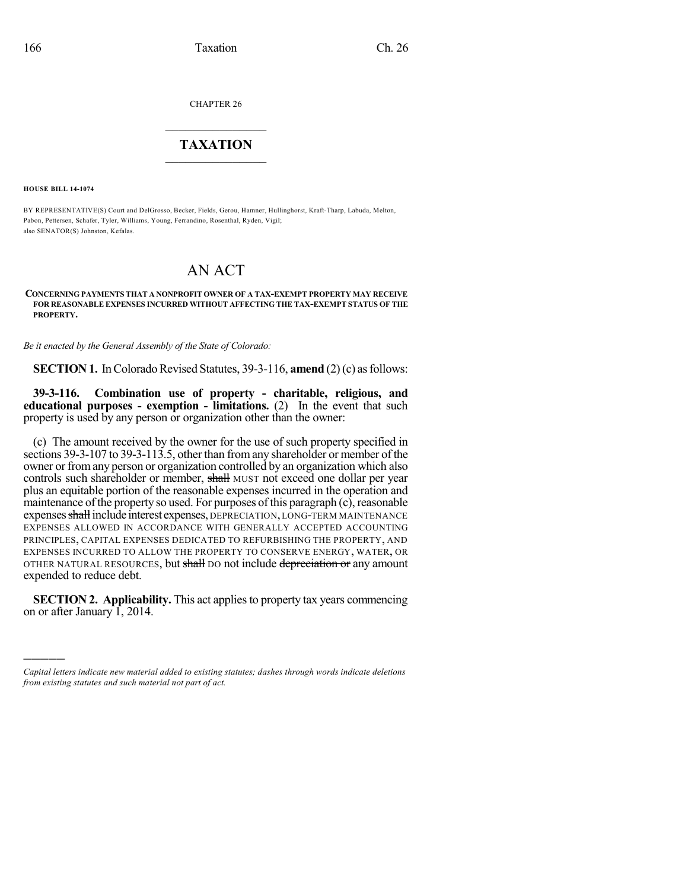CHAPTER 26

## $\mathcal{L}_\text{max}$  . The set of the set of the set of the set of the set of the set of the set of the set of the set of the set of the set of the set of the set of the set of the set of the set of the set of the set of the set **TAXATION**  $\_$

**HOUSE BILL 14-1074**

)))))

BY REPRESENTATIVE(S) Court and DelGrosso, Becker, Fields, Gerou, Hamner, Hullinghorst, Kraft-Tharp, Labuda, Melton, Pabon, Pettersen, Schafer, Tyler, Williams, Young, Ferrandino, Rosenthal, Ryden, Vigil; also SENATOR(S) Johnston, Kefalas.

## AN ACT

## **CONCERNING PAYMENTS THAT A NONPROFIT OWNER OF A TAX-EXEMPT PROPERTY MAY RECEIVE FOR REASONABLE EXPENSES INCURRED WITHOUT AFFECTING THE TAX-EXEMPT STATUS OF THE PROPERTY.**

*Be it enacted by the General Assembly of the State of Colorado:*

**SECTION 1.** In Colorado Revised Statutes, 39-3-116, **amend** (2)(c) as follows:

**39-3-116. Combination use of property - charitable, religious, and educational purposes - exemption - limitations.** (2) In the event that such property is used by any person or organization other than the owner:

(c) The amount received by the owner for the use of such property specified in sections 39-3-107 to 39-3-113.5, other than fromany shareholder or member of the owner or fromany person or organization controlled by an organization which also controls such shareholder or member, shall MUST not exceed one dollar per year plus an equitable portion of the reasonable expenses incurred in the operation and maintenance of the property so used. For purposes of this paragraph (c), reasonable expenses shall include interest expenses, DEPRECIATION, LONG-TERM MAINTENANCE EXPENSES ALLOWED IN ACCORDANCE WITH GENERALLY ACCEPTED ACCOUNTING PRINCIPLES, CAPITAL EXPENSES DEDICATED TO REFURBISHING THE PROPERTY, AND EXPENSES INCURRED TO ALLOW THE PROPERTY TO CONSERVE ENERGY, WATER, OR OTHER NATURAL RESOURCES, but shall DO not include depreciation or any amount expended to reduce debt.

**SECTION 2. Applicability.** This act appliesto property tax years commencing on or after January 1, 2014.

*Capital letters indicate new material added to existing statutes; dashes through words indicate deletions from existing statutes and such material not part of act.*